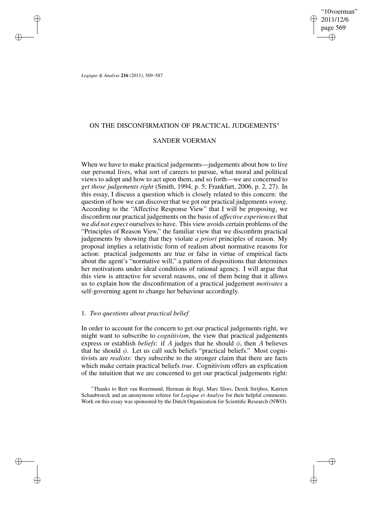"10voerman" 2011/12/6 page 569 ✐ ✐

✐

✐

*Logique & Analyse* **216** (2011), 569–587

✐

✐

✐

✐

# ON THE DISCONFIRMATION OF PRACTICAL JUDGEMENTS<sup>∗</sup>

# SANDER VOERMAN

When we have to make practical judgements—judgements about how to live our personal lives, what sort of careers to pursue, what moral and political views to adopt and how to act upon them, and so forth—we are concerned to *get those judgements right* (Smith, 1994, p. 5; Frankfurt, 2006, p. 2, 27). In this essay, I discuss a question which is closely related to this concern: the question of how we can discover that we got our practical judgements *wrong*. According to the "Affective Response View" that I will be proposing, we disconfirm our practical judgements on the basis of *affective experiences* that we *did not expect* ourselves to have. This view avoids certain problems of the "Principles of Reason View," the familiar view that we disconfirm practical judgements by showing that they violate *a priori* principles of reason. My proposal implies a relativistic form of realism about normative reasons for action: practical judgements are true or false in virtue of empirical facts about the agent's "normative will," a pattern of dispositions that determines her motivations under ideal conditions of rational agency. I will argue that this view is attractive for several reasons, one of them being that it allows us to explain how the disconfirmation of a practical judgement *motivates* a self-governing agent to change her behaviour accordingly.

# 1. *Two questions about practical belief*

In order to account for the concern to get our practical judgements right, we might want to subscribe to *cognitivism*, the view that practical judgements express or establish *beliefs*: if A judges that he should  $\phi$ , then A believes that he should  $\phi$ . Let us call such beliefs "practical beliefs." Most cognitivists are *realists*: they subscribe to the stronger claim that there are facts which make certain practical beliefs *true*. Cognitivism offers an explication of the intuition that we are concerned to get our practical judgements right:

<sup>∗</sup>Thanks to Bert van Roermund, Herman de Regt, Marc Slors, Derek Strijbos, Katrien Schaubroeck and an anonymous referee for *Logique et Analyse* for their helpful comments. Work on this essay was sponsored by the Dutch Organization for Scientific Research (NWO).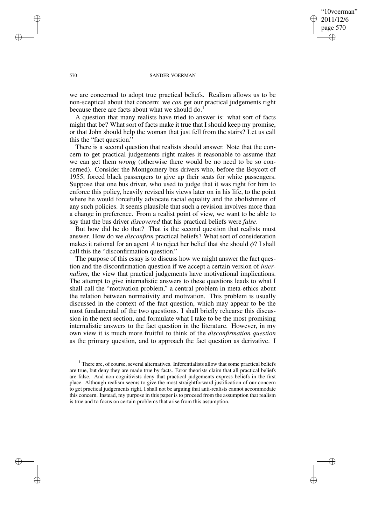"10voerman" 2011/12/6 page 570 ✐ ✐

✐

✐

### 570 SANDER VOERMAN

we are concerned to adopt true practical beliefs. Realism allows us to be non-sceptical about that concern: we *can* get our practical judgements right because there are facts about what we should do.<sup>1</sup>

A question that many realists have tried to answer is: what sort of facts might that be? What sort of facts make it true that I should keep my promise, or that John should help the woman that just fell from the stairs? Let us call this the "fact question."

There is a second question that realists should answer. Note that the concern to get practical judgements right makes it reasonable to assume that we can get them *wrong* (otherwise there would be no need to be so concerned). Consider the Montgomery bus drivers who, before the Boycott of 1955, forced black passengers to give up their seats for white passengers. Suppose that one bus driver, who used to judge that it was right for him to enforce this policy, heavily revised his views later on in his life, to the point where he would forcefully advocate racial equality and the abolishment of any such policies. It seems plausible that such a revision involves more than a change in preference. From a realist point of view, we want to be able to say that the bus driver *discovered* that his practical beliefs were *false*.

But how did he do that? That is the second question that realists must answer. How do we *disconfirm* practical beliefs? What sort of consideration makes it rational for an agent A to reject her belief that she should  $\phi$ ? I shall call this the "disconfirmation question."

The purpose of this essay is to discuss how we might answer the fact question and the disconfirmation question if we accept a certain version of *internalism*, the view that practical judgements have motivational implications. The attempt to give internalistic answers to these questions leads to what I shall call the "motivation problem," a central problem in meta-ethics about the relation between normativity and motivation. This problem is usually discussed in the context of the fact question, which may appear to be the most fundamental of the two questions. I shall briefly rehearse this discussion in the next section, and formulate what I take to be the most promising internalistic answers to the fact question in the literature. However, in my own view it is much more fruitful to think of the *disconfirmation question* as the primary question, and to approach the fact question as derivative. I

✐

✐

✐

 $<sup>1</sup>$  There are, of course, several alternatives. Inferentialists allow that some practical beliefs</sup> are true, but deny they are made true by facts. Error theorists claim that all practical beliefs are false. And non-cognitivists deny that practical judgements express beliefs in the first place. Although realism seems to give the most straightforward justification of our concern to get practical judgements right, I shall not be arguing that anti-realists cannot accommodate this concern. Instead, my purpose in this paper is to proceed from the assumption that realism is true and to focus on certain problems that arise from this assumption.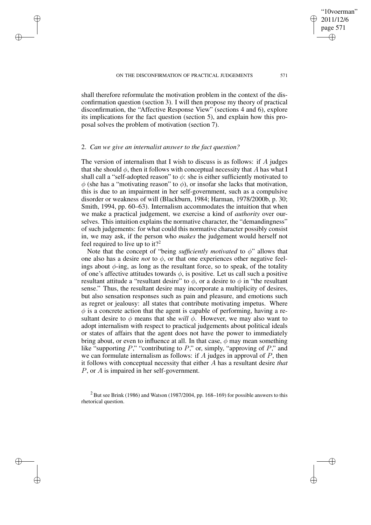shall therefore reformulate the motivation problem in the context of the disconfirmation question (section 3). I will then propose my theory of practical disconfirmation, the "Affective Response View" (sections 4 and 6), explore its implications for the fact question (section 5), and explain how this proposal solves the problem of motivation (section 7).

## 2. *Can we give an internalist answer to the fact question?*

✐

✐

✐

✐

The version of internalism that I wish to discuss is as follows: if  $\tilde{A}$  judges that she should  $\phi$ , then it follows with conceptual necessity that A has what I shall call a "self-adopted reason" to  $\phi$ : she is either sufficiently motivated to  $\phi$  (she has a "motivating reason" to  $\phi$ ), or insofar she lacks that motivation, this is due to an impairment in her self-government, such as a compulsive disorder or weakness of will (Blackburn, 1984; Harman, 1978/2000b, p. 30; Smith, 1994, pp. 60–63). Internalism accommodates the intuition that when we make a practical judgement, we exercise a kind of *authority* over ourselves. This intuition explains the normative character, the "demandingness" of such judgements: for what could this normative character possibly consist in, we may ask, if the person who *makes* the judgement would herself not feel required to live up to it?<sup>2</sup>

Note that the concept of "being *sufficiently motivated* to  $\phi$ " allows that one also has a desire *not* to  $\phi$ , or that one experiences other negative feelings about  $\phi$ -ing, as long as the resultant force, so to speak, of the totality of one's affective attitudes towards  $\phi$ , is positive. Let us call such a positive resultant attitude a "resultant desire" to  $\phi$ , or a desire to  $\phi$  in "the resultant sense." Thus, the resultant desire may incorporate a multiplicity of desires, but also sensation responses such as pain and pleasure, and emotions such as regret or jealousy: all states that contribute motivating impetus. Where  $\phi$  is a concrete action that the agent is capable of performing, having a resultant desire to  $\phi$  means that she *will*  $\phi$ . However, we may also want to adopt internalism with respect to practical judgements about political ideals or states of affairs that the agent does not have the power to immediately bring about, or even to influence at all. In that case,  $\phi$  may mean something like "supporting  $P$ ," "contributing to  $P$ ," or, simply, "approving of  $P$ ," and we can formulate internalism as follows: if  $A$  judges in approval of  $P$ , then it follows with conceptual necessity that either A has a resultant desire *that* P, or A is impaired in her self-government.

"10voerman" 2011/12/6 page 571

✐

✐

✐

 $2$  But see Brink (1986) and Watson (1987/2004, pp. 168–169) for possible answers to this rhetorical question.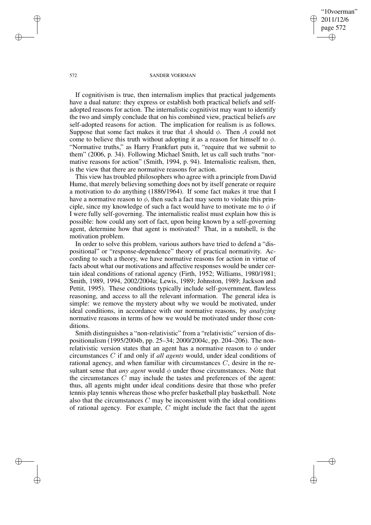"10voerman" 2011/12/6 page 572 ✐ ✐

✐

✐

#### 572 SANDER VOERMAN

If cognitivism is true, then internalism implies that practical judgements have a dual nature: they express or establish both practical beliefs and selfadopted reasons for action. The internalistic cognitivist may want to identify the two and simply conclude that on his combined view, practical beliefs *are* self-adopted reasons for action. The implication for realism is as follows. Suppose that some fact makes it true that A should  $\phi$ . Then A could not come to believe this truth without adopting it as a reason for himself to  $\phi$ . "Normative truths," as Harry Frankfurt puts it, "require that we submit to them" (2006, p. 34). Following Michael Smith, let us call such truths "normative reasons for action" (Smith, 1994, p. 94). Internalistic realism, then, is the view that there are normative reasons for action.

This view hastroubled philosophers who agree with a principle from David Hume, that merely believing something does not by itself generate or require a motivation to do anything (1886/1964). If some fact makes it true that I have a normative reason to  $\phi$ , then such a fact may seem to violate this principle, since my knowledge of such a fact would have to motivate me to  $\phi$  if I were fully self-governing. The internalistic realist must explain how this is possible: how could any sort of fact, upon being known by a self-governing agent, determine how that agent is motivated? That, in a nutshell, is the motivation problem.

In order to solve this problem, various authors have tried to defend a "dispositional" or "response-dependence" theory of practical normativity. According to such a theory, we have normative reasons for action in virtue of facts about what our motivations and affective responses would be under certain ideal conditions of rational agency (Firth, 1952; Williams, 1980/1981; Smith, 1989, 1994, 2002/2004a; Lewis, 1989; Johnston, 1989; Jackson and Pettit, 1995). These conditions typically include self-government, flawless reasoning, and access to all the relevant information. The general idea is simple: we remove the mystery about why we would be motivated, under ideal conditions, in accordance with our normative reasons, by *analyzing* normative reasons in terms of how we would be motivated under those conditions.

Smith distinguishes a "non-relativistic" from a "relativistic" version of dispositionalism (1995/2004b, pp. 25–34; 2000/2004c, pp. 204–206). The nonrelativistic version states that an agent has a normative reason to  $\phi$  under circumstances C if and only if *all agents* would, under ideal conditions of rational agency, and when familiar with circumstances C, desire in the resultant sense that *any agent* would  $\phi$  under those circumstances. Note that the circumstances  $C$  may include the tastes and preferences of the agent: thus, all agents might under ideal conditions desire that those who prefer tennis play tennis whereas those who prefer basketball play basketball. Note also that the circumstances  $C$  may be inconsistent with the ideal conditions of rational agency. For example, C might include the fact that the agent

✐

✐

✐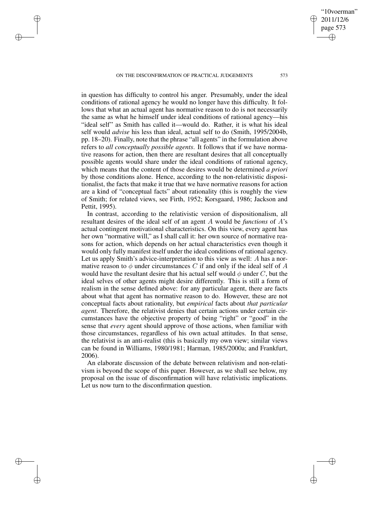✐

✐

✐

✐

in question has difficulty to control his anger. Presumably, under the ideal conditions of rational agency he would no longer have this difficulty. It follows that what an actual agent has normative reason to do is not necessarily the same as what he himself under ideal conditions of rational agency—his "ideal self" as Smith has called it—would do. Rather, it is what his ideal self would *advise* his less than ideal, actual self to do (Smith, 1995/2004b, pp. 18–20). Finally, note that the phrase "all agents" in the formulation above refers to *all conceptually possible agents*. It follows that if we have normative reasons for action, then there are resultant desires that all conceptually possible agents would share under the ideal conditions of rational agency, which means that the content of those desires would be determined *a priori* by those conditions alone. Hence, according to the non-relativistic dispositionalist, the facts that make it true that we have normative reasons for action are a kind of "conceptual facts" about rationality (this is roughly the view of Smith; for related views, see Firth, 1952; Korsgaard, 1986; Jackson and Pettit, 1995).

In contrast, according to the relativistic version of dispositionalism, all resultant desires of the ideal self of an agent A would be *functions* of A's actual contingent motivational characteristics. On this view, every agent has her own "normative will," as I shall call it: her own source of normative reasons for action, which depends on her actual characteristics even though it would only fully manifest itself under the ideal conditions of rational agency. Let us apply Smith's advice-interpretation to this view as well: A has a normative reason to  $\phi$  under circumstances C if and only if the ideal self of A would have the resultant desire that his actual self would  $\phi$  under C, but the ideal selves of other agents might desire differently. This is still a form of realism in the sense defined above: for any particular agent, there are facts about what that agent has normative reason to do. However, these are not conceptual facts about rationality, but *empirical* facts about *that particular agent*. Therefore, the relativist denies that certain actions under certain circumstances have the objective property of being "right" or "good" in the sense that *every* agent should approve of those actions, when familiar with those circumstances, regardless of his own actual attitudes. In that sense, the relativist is an anti-realist (this is basically my own view; similar views can be found in Williams, 1980/1981; Harman, 1985/2000a; and Frankfurt, 2006).

An elaborate discussion of the debate between relativism and non-relativism is beyond the scope of this paper. However, as we shall see below, my proposal on the issue of disconfirmation will have relativistic implications. Let us now turn to the disconfirmation question.

"10voerman" 2011/12/6 page 573

✐

✐

✐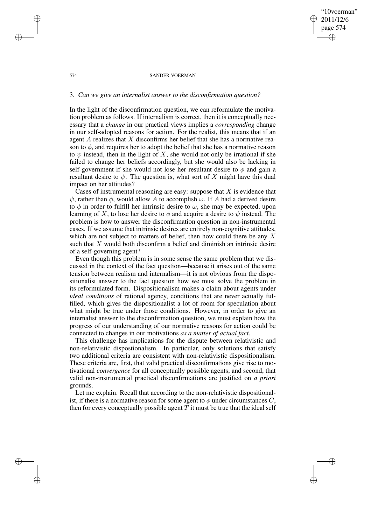## "10voerman" 2011/12/6 page 574 ✐ ✐

✐

✐

### 574 SANDER VOERMAN

## 3. *Can we give an internalist answer to the disconfirmation question?*

In the light of the disconfirmation question, we can reformulate the motivation problem as follows. If internalism is correct, then it is conceptually necessary that a *change* in our practical views implies a *corresponding* change in our self-adopted reasons for action. For the realist, this means that if an agent  $A$  realizes that  $X$  disconfirms her belief that she has a normative reason to  $\phi$ , and requires her to adopt the belief that she has a normative reason to  $\psi$  instead, then in the light of X, she would not only be irrational if she failed to change her beliefs accordingly, but she would also be lacking in self-government if she would not lose her resultant desire to  $\phi$  and gain a resultant desire to  $\psi$ . The question is, what sort of X might have this dual impact on her attitudes?

Cases of instrumental reasoning are easy: suppose that  $X$  is evidence that  $\psi$ , rather than  $\phi$ , would allow A to accomplish  $\omega$ . If A had a derived desire to  $\phi$  in order to fulfill her intrinsic desire to  $\omega$ , she may be expected, upon learning of X, to lose her desire to  $\phi$  and acquire a desire to  $\psi$  instead. The problem is how to answer the disconfirmation question in non-instrumental cases. If we assume that intrinsic desires are entirely non-cognitive attitudes, which are not subject to matters of belief, then how could there be any X such that  $X$  would both disconfirm a belief and diminish an intrinsic desire of a self-governing agent?

Even though this problem is in some sense the same problem that we discussed in the context of the fact question—because it arises out of the same tension between realism and internalism—it is not obvious from the dispositionalist answer to the fact question how we must solve the problem in its reformulated form. Dispositionalism makes a claim about agents under *ideal conditions* of rational agency, conditions that are never actually fulfilled, which gives the dispositionalist a lot of room for speculation about what might be true under those conditions. However, in order to give an internalist answer to the disconfirmation question, we must explain how the progress of our understanding of our normative reasons for action could be connected to changes in our motivations *as a matter of actual fact*.

This challenge has implications for the dispute between relativistic and non-relativistic dispostionalism. In particular, only solutions that satisfy two additional criteria are consistent with non-relativistic dispositionalism. These criteria are, first, that valid practical disconfirmations give rise to motivational *convergence* for all conceptually possible agents, and second, that valid non-instrumental practical disconfirmations are justified on *a priori* grounds.

Let me explain. Recall that according to the non-relativistic dispositionalist, if there is a normative reason for some agent to  $\phi$  under circumstances C, then for every conceptually possible agent  $T$  it must be true that the ideal self

✐

✐

✐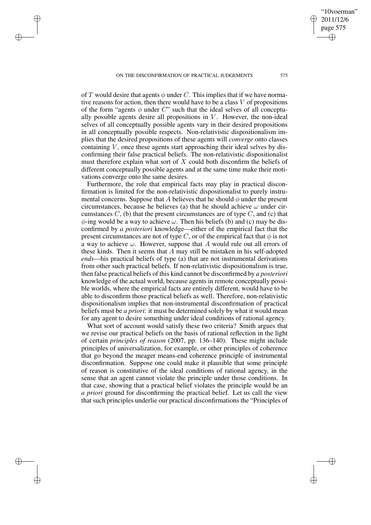✐

✐

✐

✐

of T would desire that agents  $\phi$  under C. This implies that if we have normative reasons for action, then there would have to be a class  $V$  of propositions of the form "agents  $\phi$  under C" such that the ideal selves of all conceptually possible agents desire all propositions in  $V$ . However, the non-ideal selves of all conceptually possible agents vary in their desired propositions in all conceptually possible respects. Non-relativistic dispositionalism implies that the desired propositions of these agents will *converge* onto classes containing  $V$ , once these agents start approaching their ideal selves by disconfirming their false practical beliefs. The non-relativistic dispositionalist must therefore explain what sort of  $X$  could both disconfirm the beliefs of different conceptually possible agents and at the same time make their motivations converge onto the same desires.

Furthermore, the role that empirical facts may play in practical disconfirmation is limited for the non-relativistic dispositionalist to purely instrumental concerns. Suppose that A believes that he should  $\phi$  under the present circumstances, because he believes (a) that he should achieve  $\omega$  under circumstances  $C$ , (b) that the present circumstances are of type  $C$ , and (c) that  $\phi$ -ing would be a way to achieve  $\omega$ . Then his beliefs (b) and (c) may be disconfirmed by *a posteriori* knowledge—either of the empirical fact that the present circumstances are not of type C, or of the empirical fact that  $\phi$  is not a way to achieve  $\omega$ . However, suppose that A would rule out all errors of these kinds. Then it seems that A may still be mistaken in his self-adopted *ends*—his practical beliefs of type (a) that are not instrumental derivations from other such practical beliefs. If non-relativistic dispositionalism is true, then false practical beliefs of this kind cannot be disconfirmed by *a posteriori* knowledge of the actual world, because agents in remote conceptually possible worlds, where the empirical facts are entirely different, would have to be able to disconfirm those practical beliefs as well. Therefore, non-relativistic dispositionalism implies that non-instrumental disconfirmation of practical beliefs must be *a priori*: it must be determined solely by what it would mean for any agent to desire something under ideal conditions of rational agency.

What sort of account would satisfy these two criteria? Smith argues that we revise our practical beliefs on the basis of rational reflection in the light of certain *principles of reason* (2007, pp. 136–140). These might include principles of universalization, for example, or other principles of coherence that go beyond the meager means-end coherence principle of instrumental disconfirmation. Suppose one could make it plausible that some principle of reason is constitutive of the ideal conditions of rational agency, in the sense that an agent cannot violate the principle under those conditions. In that case, showing that a practical belief violates the principle would be an *a priori* ground for disconfirming the practical belief. Let us call the view that such principles underlie our practical disconfirmations the "Principles of

"10voerman" 2011/12/6 page 575

✐

✐

✐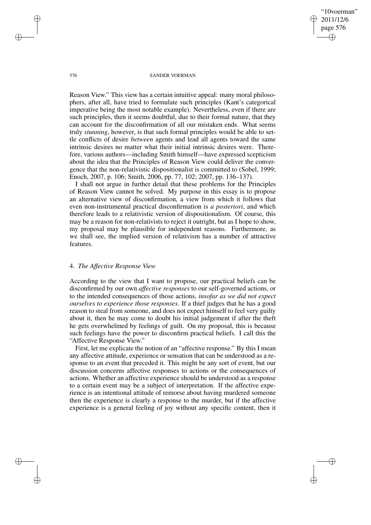"10voerman" 2011/12/6 page 576 ✐ ✐

✐

✐

#### 576 SANDER VOERMAN

Reason View." This view has a certain intuitive appeal: many moral philosophers, after all, have tried to formulate such principles (Kant's categorical imperative being the most notable example). Nevertheless, even if there are such principles, then it seems doubtful, due to their formal nature, that they can account for the disconfirmation of all our mistaken ends. What seems truly *stunning*, however, is that such formal principles would be able to settle conflicts of desire *between* agents and lead all agents toward the same intrinsic desires no matter what their initial intrinsic desires were. Therefore, various authors—including Smith himself—have expressed scepticism about the idea that the Principles of Reason View could deliver the convergence that the non-relativistic dispositionalist is committed to (Sobel, 1999; Enoch, 2007, p. 106; Smith, 2006, pp. 77, 102; 2007, pp. 136–137).

I shall not argue in further detail that these problems for the Principles of Reason View cannot be solved. My purpose in this essay is to propose an alternative view of disconfirmation, a view from which it follows that even non-instrumental practical disconfirmation is *a posteriori*, and which therefore leads to a relativistic version of dispositionalism. Of course, this may be a reason for non-relativists to reject it outright, but as I hope to show, my proposal may be plausible for independent reasons. Furthermore, as we shall see, the implied version of relativism has a number of attractive features.

### 4. *The Affective Response View*

According to the view that I want to propose, our practical beliefs can be disconfirmed by our own *affective responses* to our self-governed actions, or to the intended consequences of those actions, *insofar as we did not expect ourselves to experience those responses*. If a thief judges that he has a good reason to steal from someone, and does not expect himself to feel very guilty about it, then he may come to doubt his initial judgement if after the theft he gets overwhelmed by feelings of guilt. On my proposal, this is because such feelings have the power to disconfirm practical beliefs. I call this the "Affective Response View."

First, let me explicate the notion of an "affective response." By this I mean any affective attitude, experience or sensation that can be understood as a response to an event that preceded it. This might be any sort of event, but our discussion concerns affective responses to actions or the consequences of actions. Whether an affective experience should be understood as a response to a certain event may be a subject of interpretation. If the affective experience is an intentional attitude of remorse about having murdered someone then the experience is clearly a response to the murder, but if the affective experience is a general feeling of joy without any specific content, then it

✐

✐

✐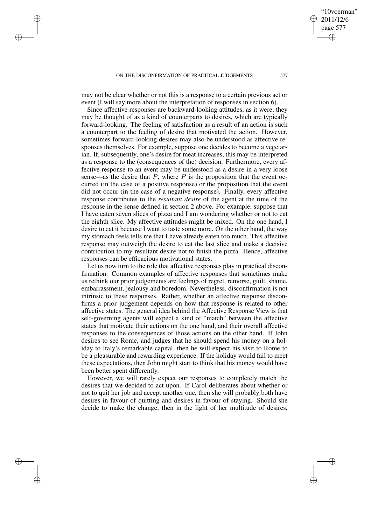✐

✐

✐

✐

may not be clear whether or not this is a response to a certain previous act or event (I will say more about the interpretation of responses in section 6).

Since affective responses are backward-looking attitudes, as it were, they may be thought of as a kind of counterparts to desires, which are typically forward-looking. The feeling of satisfaction as a result of an action is such a counterpart to the feeling of desire that motivated the action. However, sometimes forward-looking desires may also be understood as affective responses themselves. For example, suppose one decides to become a vegetarian. If, subsequently, one's desire for meat increases, this may be interpreted as a response to the (consequences of the) decision. Furthermore, every affective response to an event may be understood as a desire in a very loose sense—as the desire that  $P$ , where  $P$  is the proposition that the event occurred (in the case of a positive response) or the proposition that the event did not occur (in the case of a negative response). Finally, every affective response contributes to the *resultant desire* of the agent at the time of the response in the sense defined in section 2 above. For example, suppose that I have eaten seven slices of pizza and I am wondering whether or not to eat the eighth slice. My affective attitudes might be mixed. On the one hand, I desire to eat it because I want to taste some more. On the other hand, the way my stomach feels tells me that I have already eaten too much. This affective response may outweigh the desire to eat the last slice and make a decisive contribution to my resultant desire not to finish the pizza. Hence, affective responses can be efficacious motivational states.

Let us now turn to the role that affective responses play in practical disconfirmation. Common examples of affective responses that sometimes make us rethink our prior judgements are feelings of regret, remorse, guilt, shame, embarrassment, jealousy and boredom. Nevertheless, disconfirmation is not intrinsic to these responses. Rather, whether an affective response disconfirms a prior judgement depends on how that response is related to other affective states. The general idea behind the Affective Response View is that self-governing agents will expect a kind of "match" between the affective states that motivate their actions on the one hand, and their overall affective responses to the consequences of those actions on the other hand. If John desires to see Rome, and judges that he should spend his money on a holiday to Italy's remarkable capital, then he will expect his visit to Rome to be a pleasurable and rewarding experience. If the holiday would fail to meet these expectations, then John might start to think that his money would have been better spent differently.

However, we will rarely expect our responses to completely match the desires that we decided to act upon. If Carol deliberates about whether or not to quit her job and accept another one, then she will probably both have desires in favour of quitting and desires in favour of staying. Should she decide to make the change, then in the light of her multitude of desires,

"10voerman" 2011/12/6 page 577

✐

✐

✐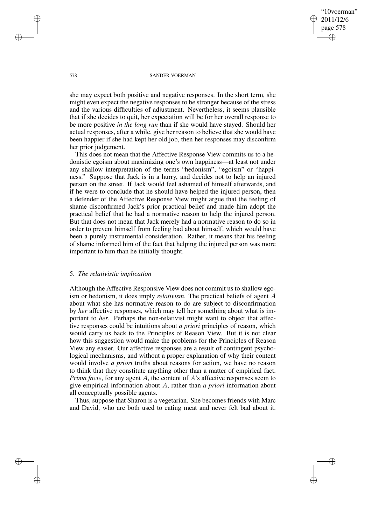"10voerman" 2011/12/6 page 578 ✐ ✐

✐

✐

### 578 SANDER VOERMAN

she may expect both positive and negative responses. In the short term, she might even expect the negative responses to be stronger because of the stress and the various difficulties of adjustment. Nevertheless, it seems plausible that if she decides to quit, her expectation will be for her overall response to be more positive *in the long run* than if she would have stayed. Should her actual responses, after a while, give her reason to believe that she would have been happier if she had kept her old job, then her responses may disconfirm her prior judgement.

This does not mean that the Affective Response View commits us to a hedonistic egoism about maximizing one's own happiness—at least not under any shallow interpretation of the terms "hedonism", "egoism" or "happiness." Suppose that Jack is in a hurry, and decides not to help an injured person on the street. If Jack would feel ashamed of himself afterwards, and if he were to conclude that he should have helped the injured person, then a defender of the Affective Response View might argue that the feeling of shame disconfirmed Jack's prior practical belief and made him adopt the practical belief that he had a normative reason to help the injured person. But that does not mean that Jack merely had a normative reason to do so in order to prevent himself from feeling bad about himself, which would have been a purely instrumental consideration. Rather, it means that his feeling of shame informed him of the fact that helping the injured person was more important to him than he initially thought.

## 5. *The relativistic implication*

Although the Affective Responsive View does not commit us to shallow egoism or hedonism, it does imply *relativism*. The practical beliefs of agent A about what she has normative reason to do are subject to disconfirmation by *her* affective responses, which may tell her something about what is important to *her*. Perhaps the non-relativist might want to object that affective responses could be intuitions about *a priori* principles of reason, which would carry us back to the Principles of Reason View. But it is not clear how this suggestion would make the problems for the Principles of Reason View any easier. Our affective responses are a result of contingent psychological mechanisms, and without a proper explanation of why their content would involve *a priori* truths about reasons for action, we have no reason to think that they constitute anything other than a matter of empirical fact. *Prima facie*, for any agent A, the content of A's affective responses seem to give empirical information about A, rather than *a priori* information about all conceptually possible agents.

Thus, suppose that Sharon is a vegetarian. She becomes friends with Marc and David, who are both used to eating meat and never felt bad about it.

✐

✐

✐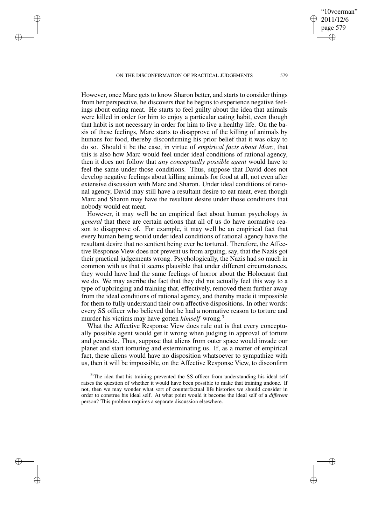✐

✐

✐

✐

However, once Marc gets to know Sharon better, and starts to consider things from her perspective, he discovers that he begins to experience negative feelings about eating meat. He starts to feel guilty about the idea that animals were killed in order for him to enjoy a particular eating habit, even though that habit is not necessary in order for him to live a healthy life. On the basis of these feelings, Marc starts to disapprove of the killing of animals by humans for food, thereby disconfirming his prior belief that it was okay to do so. Should it be the case, in virtue of *empirical facts about Marc*, that this is also how Marc would feel under ideal conditions of rational agency, then it does not follow that *any conceptually possible agent* would have to feel the same under those conditions. Thus, suppose that David does not develop negative feelings about killing animals for food at all, not even after extensive discussion with Marc and Sharon. Under ideal conditions of rational agency, David may still have a resultant desire to eat meat, even though Marc and Sharon may have the resultant desire under those conditions that nobody would eat meat.

However, it may well be an empirical fact about human psychology *in general* that there are certain actions that all of us do have normative reason to disapprove of. For example, it may well be an empirical fact that every human being would under ideal conditions of rational agency have the resultant desire that no sentient being ever be tortured. Therefore, the Affective Response View does not prevent us from arguing, say, that the Nazis got their practical judgements wrong. Psychologically, the Nazis had so much in common with us that it seems plausible that under different circumstances, they would have had the same feelings of horror about the Holocaust that we do. We may ascribe the fact that they did not actually feel this way to a type of upbringing and training that, effectively, removed them further away from the ideal conditions of rational agency, and thereby made it impossible for them to fully understand their own affective dispositions. In other words: every SS officer who believed that he had a normative reason to torture and murder his victims may have gotten *himself* wrong.<sup>3</sup>

What the Affective Response View does rule out is that every conceptually possible agent would get it wrong when judging in approval of torture and genocide. Thus, suppose that aliens from outer space would invade our planet and start torturing and exterminating us. If, as a matter of empirical fact, these aliens would have no disposition whatsoever to sympathize with us, then it will be impossible, on the Affective Response View, to disconfirm

"10voerman" 2011/12/6 page 579

✐

✐

✐

 $3$  The idea that his training prevented the SS officer from understanding his ideal self raises the question of whether it would have been possible to make that training undone. If not, then we may wonder what sort of counterfactual life histories we should consider in order to construe his ideal self. At what point would it become the ideal self of a *different* person? This problem requires a separate discussion elsewhere.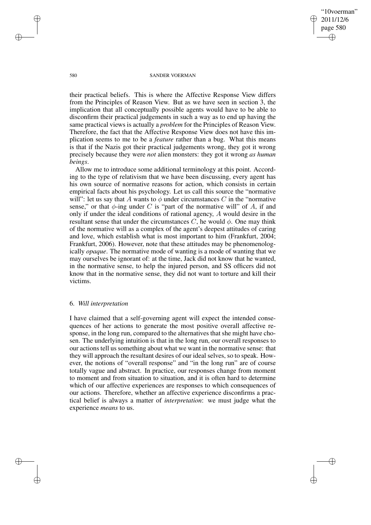"10voerman" 2011/12/6 page 580 ✐ ✐

✐

✐

### 580 SANDER VOERMAN

their practical beliefs. This is where the Affective Response View differs from the Principles of Reason View. But as we have seen in section 3, the implication that all conceptually possible agents would have to be able to disconfirm their practical judgements in such a way as to end up having the same practical views is actually a *problem* for the Principles of Reason View. Therefore, the fact that the Affective Response View does not have this implication seems to me to be a *feature* rather than a bug. What this means is that if the Nazis got their practical judgements wrong, they got it wrong precisely because they were *not* alien monsters: they got it wrong *as human beings*.

Allow me to introduce some additional terminology at this point. According to the type of relativism that we have been discussing, every agent has his own source of normative reasons for action, which consists in certain empirical facts about his psychology. Let us call this source the "normative will": let us say that A wants to  $\phi$  under circumstances C in the "normative" sense," or that  $\phi$ -ing under C is "part of the normative will" of A, if and only if under the ideal conditions of rational agency, A would desire in the resultant sense that under the circumstances  $C$ , he would  $\phi$ . One may think of the normative will as a complex of the agent's deepest attitudes of caring and love, which establish what is most important to him (Frankfurt, 2004; Frankfurt, 2006). However, note that these attitudes may be phenomenologically *opaque*. The normative mode of wanting is a mode of wanting that we may ourselves be ignorant of: at the time, Jack did not know that he wanted, in the normative sense, to help the injured person, and SS officers did not know that in the normative sense, they did not want to torture and kill their victims.

# 6. *Will interpretation*

I have claimed that a self-governing agent will expect the intended consequences of her actions to generate the most positive overall affective response, in the long run, compared to the alternatives that she might have chosen. The underlying intuition is that in the long run, our overall responses to our actions tell us something about what we want in the normative sense: that they will approach the resultant desires of our ideal selves, so to speak. However, the notions of "overall response" and "in the long run" are of course totally vague and abstract. In practice, our responses change from moment to moment and from situation to situation, and it is often hard to determine which of our affective experiences are responses to which consequences of our actions. Therefore, whether an affective experience disconfirms a practical belief is always a matter of *interpretation*: we must judge what the experience *means* to us.

✐

✐

✐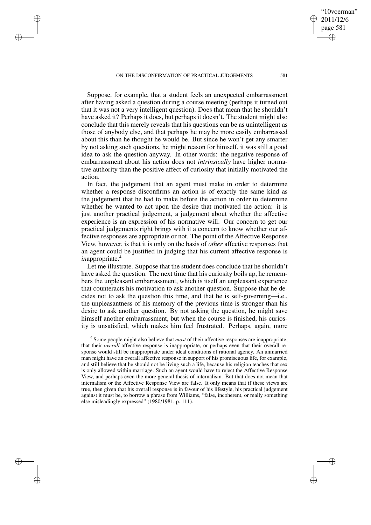✐

✐

✐

✐

Suppose, for example, that a student feels an unexpected embarrassment after having asked a question during a course meeting (perhaps it turned out that it was not a very intelligent question). Does that mean that he shouldn't have asked it? Perhaps it does, but perhaps it doesn't. The student might also conclude that this merely reveals that his questions can be as unintelligent as those of anybody else, and that perhaps he may be more easily embarrassed about this than he thought he would be. But since he won't get any smarter by not asking such questions, he might reason for himself, it was still a good idea to ask the question anyway. In other words: the negative response of embarrassment about his action does not *intrinsically* have higher normative authority than the positive affect of curiosity that initially motivated the action.

In fact, the judgement that an agent must make in order to determine whether a response disconfirms an action is of exactly the same kind as the judgement that he had to make before the action in order to determine whether he wanted to act upon the desire that motivated the action: it is just another practical judgement, a judgement about whether the affective experience is an expression of his normative will. Our concern to get our practical judgements right brings with it a concern to know whether our affective responses are appropriate or not. The point of the Affective Response View, however, is that it is only on the basis of *other* affective responses that an agent could be justified in judging that his current affective response is *inappropriate.*<sup>4</sup>

Let me illustrate. Suppose that the student does conclude that he shouldn't have asked the question. The next time that his curiosity boils up, he remembers the unpleasant embarrassment, which is itself an unpleasant experience that counteracts his motivation to ask another question. Suppose that he decides not to ask the question this time, and that he is self-governing—i.e., the unpleasantness of his memory of the previous time is stronger than his desire to ask another question. By not asking the question, he might save himself another embarrassment, but when the course is finished, his curiosity is unsatisfied, which makes him feel frustrated. Perhaps, again, more

4 Some people might also believe that *most* of their affective responses are inappropriate, that their *overall* affective response is inappropriate, or perhaps even that their overall response would still be inappropriate under ideal conditions of rational agency. An unmarried man might have an overall affective response in support of his promiscuous life, for example, and still believe that he should not be living such a life, because his religion teaches that sex is only allowed within marriage. Such an agent would have to reject the Affective Response View, and perhaps even the more general thesis of internalism. But that does not mean that internalism or the Affective Response View are false. It only means that if these views are true, then given that his overall response is in favour of his lifestyle, his practical judgement against it must be, to borrow a phrase from Williams, "false, incoherent, or really something else misleadingly expressed" (1980/1981, p. 111).

"10voerman" 2011/12/6 page 581

✐

✐

✐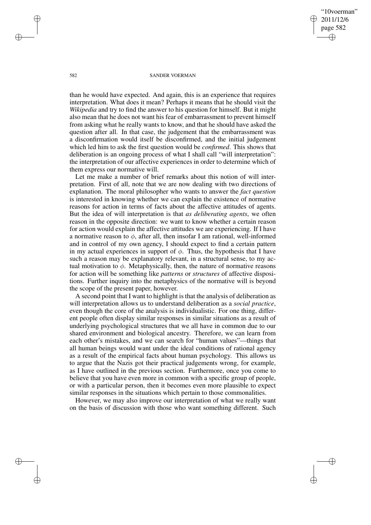"10voerman" 2011/12/6 page 582 ✐ ✐

✐

✐

#### 582 SANDER VOERMAN

than he would have expected. And again, this is an experience that requires interpretation. What does it mean? Perhaps it means that he should visit the *Wikipedia* and try to find the answer to his question for himself. But it might also mean that he does not want his fear of embarrassment to prevent himself from asking what he really wants to know, and that he should have asked the question after all. In that case, the judgement that the embarrassment was a disconfirmation would itself be disconfirmed, and the initial judgement which led him to ask the first question would be *confirmed*. This shows that deliberation is an ongoing process of what I shall call "will interpretation": the interpretation of our affective experiences in order to determine which of them express our normative will.

Let me make a number of brief remarks about this notion of will interpretation. First of all, note that we are now dealing with two directions of explanation. The moral philosopher who wants to answer the *fact question* is interested in knowing whether we can explain the existence of normative reasons for action in terms of facts about the affective attitudes of agents. But the idea of will interpretation is that *as deliberating agents*, we often reason in the opposite direction: we want to know whether a certain reason for action would explain the affective attitudes we are experiencing. If I have a normative reason to  $\phi$ , after all, then insofar I am rational, well-informed and in control of my own agency, I should expect to find a certain pattern in my actual experiences in support of  $\phi$ . Thus, the hypothesis that I have such a reason may be explanatory relevant, in a structural sense, to my actual motivation to  $\phi$ . Metaphysically, then, the nature of normative reasons for action will be something like *patterns* or *structures* of affective dispositions. Further inquiry into the metaphysics of the normative will is beyond the scope of the present paper, however.

A second point that I want to highlight is that the analysis of deliberation as will interpretation allows us to understand deliberation as a *social practice*, even though the core of the analysis is individualistic. For one thing, different people often display similar responses in similar situations as a result of underlying psychological structures that we all have in common due to our shared environment and biological ancestry. Therefore, we can learn from each other's mistakes, and we can search for "human values"—things that all human beings would want under the ideal conditions of rational agency as a result of the empirical facts about human psychology. This allows us to argue that the Nazis got their practical judgements wrong, for example, as I have outlined in the previous section. Furthermore, once you come to believe that you have even more in common with a specific group of people, or with a particular person, then it becomes even more plausible to expect similar responses in the situations which pertain to those commonalities.

However, we may also improve our interpretation of what we really want on the basis of discussion with those who want something different. Such

✐

✐

✐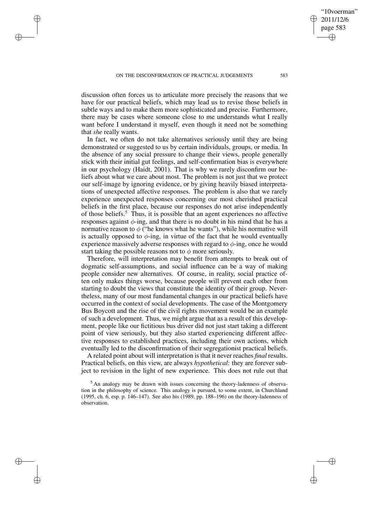✐

✐

✐

✐

discussion often forces us to articulate more precisely the reasons that we have for our practical beliefs, which may lead us to revise those beliefs in subtle ways and to make them more sophisticated and precise. Furthermore, there may be cases where someone close to me understands what I really want before I understand it myself, even though it need not be something that *she* really wants.

In fact, we often do not take alternatives seriously until they are being demonstrated or suggested to us by certain individuals, groups, or media. In the absence of any social pressure to change their views, people generally stick with their initial gut feelings, and self-confirmation bias is everywhere in our psychology (Haidt, 2001). That is why we rarely disconfirm our beliefs about what we care about most. The problem is not just that we protect our self-image by ignoring evidence, or by giving heavily biased interpretations of unexpected affective responses. The problem is also that we rarely experience unexpected responses concerning our most cherished practical beliefs in the first place, because our responses do not arise independently of those beliefs.<sup>5</sup> Thus, it is possible that an agent experiences no affective responses against  $\phi$ -ing, and that there is no doubt in his mind that he has a normative reason to  $\phi$  ("he knows what he wants"), while his normative will is actually opposed to  $\phi$ -ing, in virtue of the fact that he would eventually experience massively adverse responses with regard to  $\phi$ -ing, once he would start taking the possible reasons not to  $\phi$  more seriously.

Therefore, will interpretation may benefit from attempts to break out of dogmatic self-assumptions, and social influence can be a way of making people consider new alternatives. Of course, in reality, social practice often only makes things worse, because people will prevent each other from starting to doubt the views that constitute the identity of their group. Nevertheless, many of our most fundamental changes in our practical beliefs have occurred in the context of social developments. The case of the Montgomery Bus Boycott and the rise of the civil rights movement would be an example of such a development. Thus, we might argue that as a result of this development, people like our fictitious bus driver did not just start taking a different point of view seriously, but they also started experiencing different affective responses to established practices, including their own actions, which eventually led to the disconfirmation of their segregationist practical beliefs.

A related point about will interpretation isthat it never reaches *final* results. Practical beliefs, on this view, are always *hypothetical*: they are forever subject to revision in the light of new experience. This does not rule out that

"10voerman" 2011/12/6 page 583

✐

✐

✐

<sup>5</sup> An analogy may be drawn with issues concerning the theory-ladenness of observation in the philosophy of science. This analogy is pursued, to some extent, in Churchland (1995, ch. 6, esp. p. 146–147). See also his (1989, pp. 188–196) on the theory-ladenness of observation.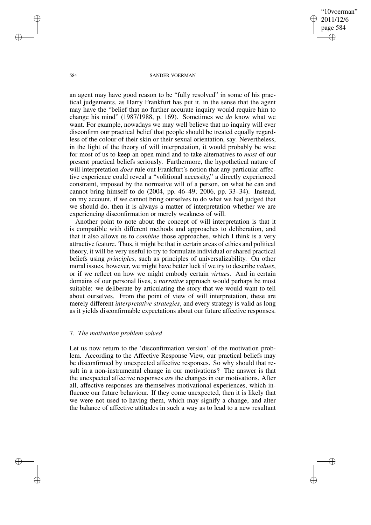"10voerman" 2011/12/6 page 584 ✐ ✐

✐

✐

### 584 SANDER VOERMAN

an agent may have good reason to be "fully resolved" in some of his practical judgements, as Harry Frankfurt has put it, in the sense that the agent may have the "belief that no further accurate inquiry would require him to change his mind" (1987/1988, p. 169). Sometimes we *do* know what we want. For example, nowadays we may well believe that no inquiry will ever disconfirm our practical belief that people should be treated equally regardless of the colour of their skin or their sexual orientation, say. Nevertheless, in the light of the theory of will interpretation, it would probably be wise for most of us to keep an open mind and to take alternatives to *most* of our present practical beliefs seriously. Furthermore, the hypothetical nature of will interpretation *does* rule out Frankfurt's notion that any particular affective experience could reveal a "volitional necessity," a directly experienced constraint, imposed by the normative will of a person, on what he can and cannot bring himself to do (2004, pp. 46–49; 2006, pp. 33–34). Instead, on my account, if we cannot bring ourselves to do what we had judged that we should do, then it is always a matter of interpretation whether we are experiencing disconfirmation or merely weakness of will.

Another point to note about the concept of will interpretation is that it is compatible with different methods and approaches to deliberation, and that it also allows us to *combine* those approaches, which I think is a very attractive feature. Thus, it might be that in certain areas of ethics and political theory, it will be very useful to try to formulate individual or shared practical beliefs using *principles*, such as principles of universalizability. On other moral issues, however, we might have better luck if we try to describe *values*, or if we reflect on how we might embody certain *virtues*. And in certain domains of our personal lives, a *narrative* approach would perhaps be most suitable: we deliberate by articulating the story that we would want to tell about ourselves. From the point of view of will interpretation, these are merely different *interpretative strategies*, and every strategy is valid as long as it yields disconfirmable expectations about our future affective responses.

### 7. *The motivation problem solved*

Let us now return to the 'disconfirmation version' of the motivation problem. According to the Affective Response View, our practical beliefs may be disconfirmed by unexpected affective responses. So why should that result in a non-instrumental change in our motivations? The answer is that the unexpected affective responses *are* the changes in our motivations. After all, affective responses are themselves motivational experiences, which influence our future behaviour. If they come unexpected, then it is likely that we were not used to having them, which may signify a change, and alter the balance of affective attitudes in such a way as to lead to a new resultant

✐

✐

✐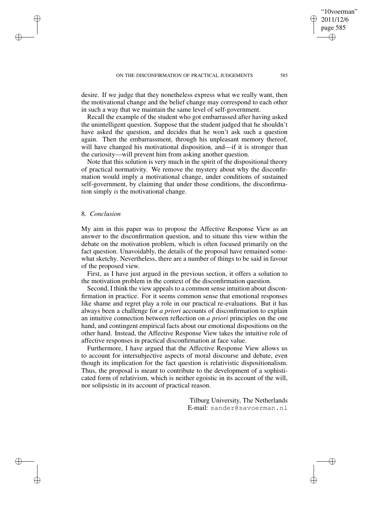desire. If we judge that they nonetheless express what we really want, then the motivational change and the belief change may correspond to each other in such a way that we maintain the same level of self-government.

Recall the example of the student who got embarrassed after having asked the unintelligent question. Suppose that the student judged that he shouldn't have asked the question, and decides that he won't ask such a question again. Then the embarrassment, through his unpleasant memory thereof, will have changed his motivational disposition, and—if it is stronger than the curiosity—will prevent him from asking another question.

Note that this solution is very much in the spirit of the dispositional theory of practical normativity. We remove the mystery about why the disconfirmation would imply a motivational change, under conditions of sustained self-government, by claiming that under those conditions, the disconfirmation simply *is* the motivational change.

# 8. *Conclusion*

✐

✐

✐

✐

My aim in this paper was to propose the Affective Response View as an answer to the disconfirmation question, and to situate this view within the debate on the motivation problem, which is often focused primarily on the fact question. Unavoidably, the details of the proposal have remained somewhat sketchy. Nevertheless, there are a number of things to be said in favour of the proposed view.

First, as I have just argued in the previous section, it offers a solution to the motivation problem in the context of the disconfirmation question.

Second, I think the view appeals to a common sense intuition about disconfirmation in practice. For it seems common sense that emotional responses like shame and regret play a role in our practical re-evaluations. But it has always been a challenge for *a priori* accounts of disconfirmation to explain an intuitive connection between reflection on *a priori* principles on the one hand, and contingent empirical facts about our emotional dispositions on the other hand. Instead, the Affective Response View takes the intuitive role of affective responses in practical disconfirmation at face value.

Furthermore, I have argued that the Affective Response View allows us to account for intersubjective aspects of moral discourse and debate, even though its implication for the fact question is relativistic dispositionalism. Thus, the proposal is meant to contribute to the development of a sophisticated form of relativism, which is neither egoistic in its account of the will, nor solipsistic in its account of practical reason.

> Tilburg University, The Netherlands E-mail: sander@savoerman.nl

"10voerman" 2011/12/6 page 585

✐

✐

✐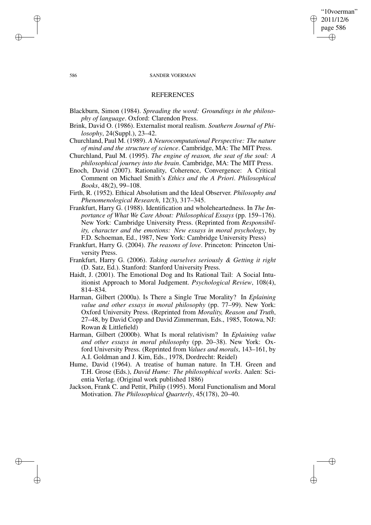# "10voerman" 2011/12/6 page 586 ✐ ✐

✐

✐

### 586 SANDER VOERMAN

### **REFERENCES**

- Blackburn, Simon (1984). *Spreading the word: Groundings in the philosophy of language*. Oxford: Clarendon Press.
- Brink, David O. (1986). Externalist moral realism. *Southern Journal of Philosophy*, 24(Suppl.), 23–42.
- Churchland, Paul M. (1989). *A Neurocomputational Perspective: The nature of mind and the structure of science*. Cambridge, MA: The MIT Press.
- Churchland, Paul M. (1995). *The engine of reason, the seat of the soul: A philosophical journey into the brain*. Cambridge, MA: The MIT Press.
- Enoch, David (2007). Rationality, Coherence, Convergence: A Critical Comment on Michael Smith's *Ethics and the A Priori*. *Philosophical Books*, 48(2), 99–108.
- Firth, R. (1952). Ethical Absolutism and the Ideal Observer. *Philosophy and Phenomenological Research*, 12(3), 317–345.
- Frankfurt, Harry G. (1988). Identification and wholeheartedness. In *The Importance of What We Care About: Philosophical Essays* (pp. 159–176). New York: Cambridge University Press. (Reprinted from *Responsibility, character and the emotions: New essays in moral psychology*, by F.D. Schoeman, Ed., 1987, New York: Cambridge University Press)
- Frankfurt, Harry G. (2004). *The reasons of love*. Princeton: Princeton University Press.
- Frankfurt, Harry G. (2006). *Taking ourselves seriously & Getting it right* (D. Satz, Ed.). Stanford: Stanford University Press.
- Haidt, J. (2001). The Emotional Dog and Its Rational Tail: A Social Intuitionist Approach to Moral Judgement. *Psychological Review*, 108(4), 814–834.
- Harman, Gilbert (2000a). Is There a Single True Morality? In *Eplaining value and other essays in moral philosophy* (pp. 77–99). New York: Oxford University Press. (Reprinted from *Morality, Reason and Truth*, 27–48, by David Copp and David Zimmerman, Eds., 1985, Totowa, NJ: Rowan & Littlefield)
- Harman, Gilbert (2000b). What Is moral relativism? In *Eplaining value and other essays in moral philosophy* (pp. 20–38). New York: Oxford University Press. (Reprinted from *Values and morals*, 143–161, by A.I. Goldman and J. Kim, Eds., 1978, Dordrecht: Reidel)
- Hume, David (1964). A treatise of human nature. In T.H. Green and T.H. Grose (Eds.), *David Hume: The philosophical works*. Aalen: Scientia Verlag. (Original work published 1886)
- Jackson, Frank C. and Pettit, Philip (1995). Moral Functionalism and Moral Motivation. *The Philosophical Quarterly*, 45(178), 20–40.

✐

✐

✐